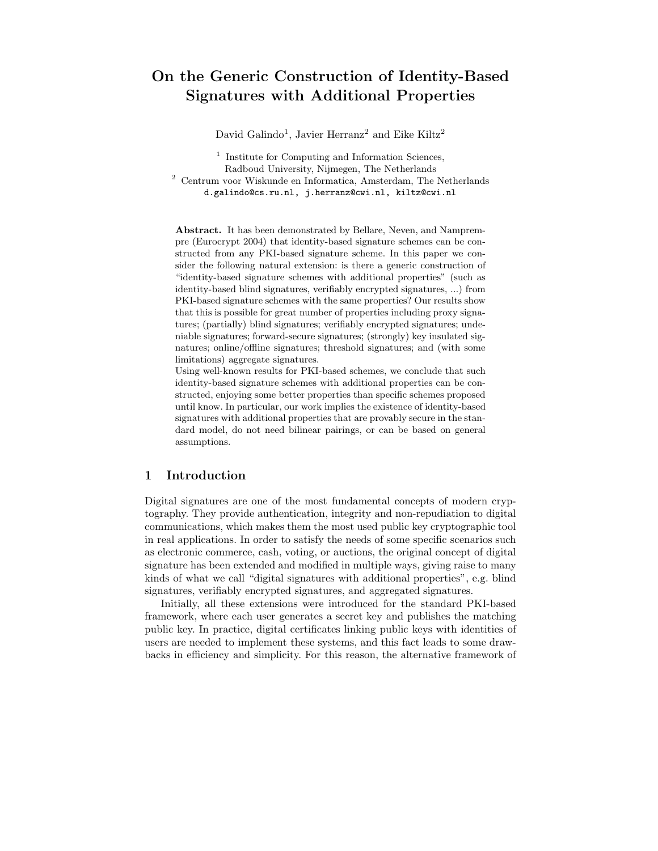# On the Generic Construction of Identity-Based Signatures with Additional Properties

David Galindo<sup>1</sup>, Javier Herranz<sup>2</sup> and Eike Kiltz<sup>2</sup>

<sup>1</sup> Institute for Computing and Information Sciences, Radboud University, Nijmegen, The Netherlands

<sup>2</sup> Centrum voor Wiskunde en Informatica, Amsterdam, The Netherlands d.galindo@cs.ru.nl, j.herranz@cwi.nl, kiltz@cwi.nl

Abstract. It has been demonstrated by Bellare, Neven, and Namprempre (Eurocrypt 2004) that identity-based signature schemes can be constructed from any PKI-based signature scheme. In this paper we consider the following natural extension: is there a generic construction of "identity-based signature schemes with additional properties" (such as identity-based blind signatures, verifiably encrypted signatures, ...) from PKI-based signature schemes with the same properties? Our results show that this is possible for great number of properties including proxy signatures; (partially) blind signatures; verifiably encrypted signatures; undeniable signatures; forward-secure signatures; (strongly) key insulated signatures; online/offline signatures; threshold signatures; and (with some limitations) aggregate signatures.

Using well-known results for PKI-based schemes, we conclude that such identity-based signature schemes with additional properties can be constructed, enjoying some better properties than specific schemes proposed until know. In particular, our work implies the existence of identity-based signatures with additional properties that are provably secure in the standard model, do not need bilinear pairings, or can be based on general assumptions.

# 1 Introduction

Digital signatures are one of the most fundamental concepts of modern cryptography. They provide authentication, integrity and non-repudiation to digital communications, which makes them the most used public key cryptographic tool in real applications. In order to satisfy the needs of some specific scenarios such as electronic commerce, cash, voting, or auctions, the original concept of digital signature has been extended and modified in multiple ways, giving raise to many kinds of what we call "digital signatures with additional properties", e.g. blind signatures, verifiably encrypted signatures, and aggregated signatures.

Initially, all these extensions were introduced for the standard PKI-based framework, where each user generates a secret key and publishes the matching public key. In practice, digital certificates linking public keys with identities of users are needed to implement these systems, and this fact leads to some drawbacks in efficiency and simplicity. For this reason, the alternative framework of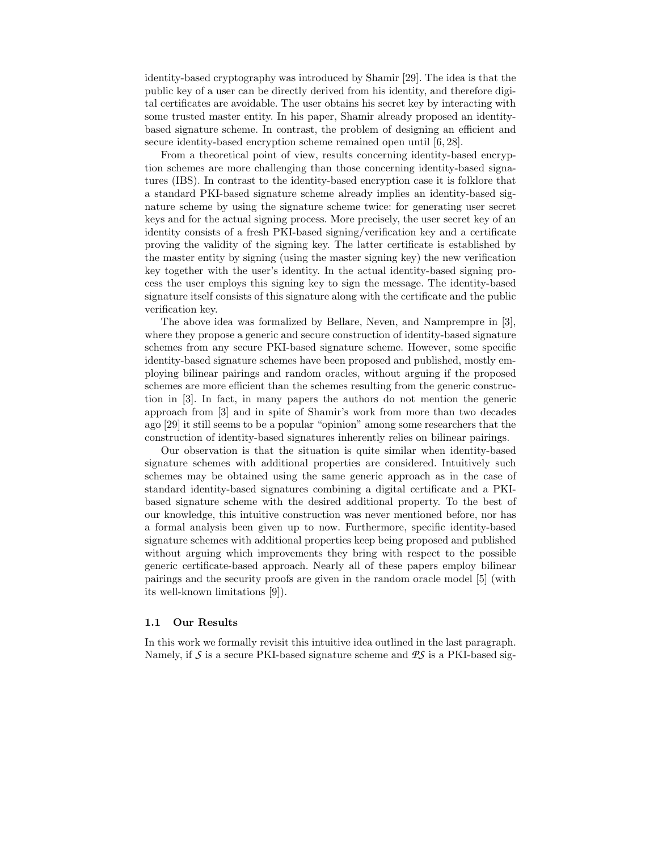identity-based cryptography was introduced by Shamir [29]. The idea is that the public key of a user can be directly derived from his identity, and therefore digital certificates are avoidable. The user obtains his secret key by interacting with some trusted master entity. In his paper, Shamir already proposed an identitybased signature scheme. In contrast, the problem of designing an efficient and secure identity-based encryption scheme remained open until  $[6, 28]$ .

From a theoretical point of view, results concerning identity-based encryption schemes are more challenging than those concerning identity-based signatures (IBS). In contrast to the identity-based encryption case it is folklore that a standard PKI-based signature scheme already implies an identity-based signature scheme by using the signature scheme twice: for generating user secret keys and for the actual signing process. More precisely, the user secret key of an identity consists of a fresh PKI-based signing/verification key and a certificate proving the validity of the signing key. The latter certificate is established by the master entity by signing (using the master signing key) the new verification key together with the user's identity. In the actual identity-based signing process the user employs this signing key to sign the message. The identity-based signature itself consists of this signature along with the certificate and the public verification key.

The above idea was formalized by Bellare, Neven, and Namprempre in [3], where they propose a generic and secure construction of identity-based signature schemes from any secure PKI-based signature scheme. However, some specific identity-based signature schemes have been proposed and published, mostly employing bilinear pairings and random oracles, without arguing if the proposed schemes are more efficient than the schemes resulting from the generic construction in [3]. In fact, in many papers the authors do not mention the generic approach from [3] and in spite of Shamir's work from more than two decades ago [29] it still seems to be a popular "opinion" among some researchers that the construction of identity-based signatures inherently relies on bilinear pairings.

Our observation is that the situation is quite similar when identity-based signature schemes with additional properties are considered. Intuitively such schemes may be obtained using the same generic approach as in the case of standard identity-based signatures combining a digital certificate and a PKIbased signature scheme with the desired additional property. To the best of our knowledge, this intuitive construction was never mentioned before, nor has a formal analysis been given up to now. Furthermore, specific identity-based signature schemes with additional properties keep being proposed and published without arguing which improvements they bring with respect to the possible generic certificate-based approach. Nearly all of these papers employ bilinear pairings and the security proofs are given in the random oracle model [5] (with its well-known limitations [9]).

#### 1.1 Our Results

In this work we formally revisit this intuitive idea outlined in the last paragraph. Namely, if *S* is a secure PKI-based signature scheme and *PS* is a PKI-based sig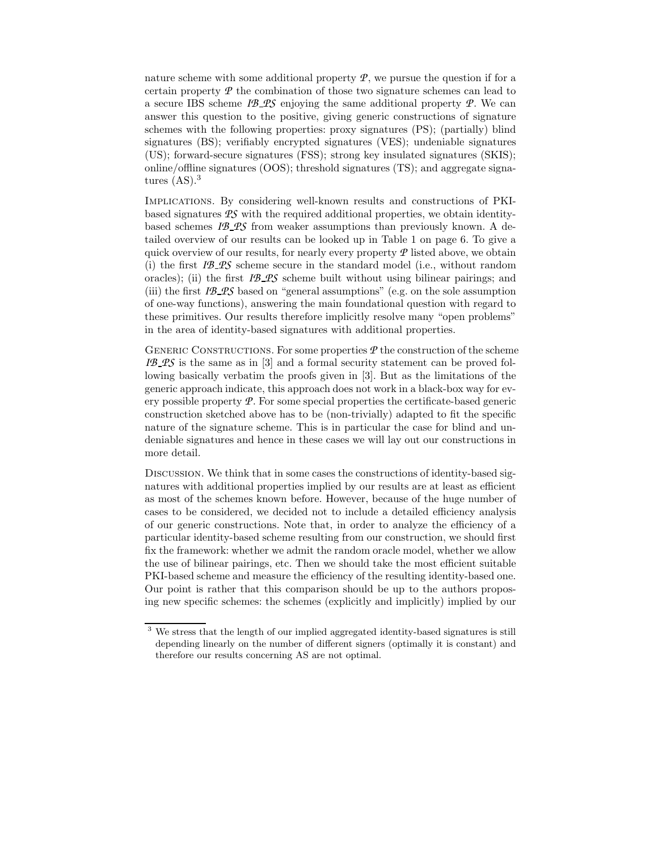nature scheme with some additional property  $P$ , we pursue the question if for a certain property *P* the combination of those two signature schemes can lead to a secure IBS scheme  $I\mathcal{B}\llcorner P\mathcal{S}$  enjoying the same additional property  $P$ . We can answer this question to the positive, giving generic constructions of signature schemes with the following properties: proxy signatures (PS); (partially) blind signatures (BS); verifiably encrypted signatures (VES); undeniable signatures (US); forward-secure signatures (FSS); strong key insulated signatures (SKIS); online/offline signatures (OOS); threshold signatures (TS); and aggregate signatures  $(AS)^3$ .

Implications. By considering well-known results and constructions of PKIbased signatures *PS* with the required additional properties, we obtain identitybased schemes *IB PS* from weaker assumptions than previously known. A detailed overview of our results can be looked up in Table 1 on page 6. To give a quick overview of our results, for nearly every property *P* listed above, we obtain (i) the first *IB PS* scheme secure in the standard model (i.e., without random oracles); (ii) the first *IB PS* scheme built without using bilinear pairings; and (iii) the first *IB PS* based on "general assumptions" (e.g. on the sole assumption of one-way functions), answering the main foundational question with regard to these primitives. Our results therefore implicitly resolve many "open problems" in the area of identity-based signatures with additional properties.

GENERIC CONSTRUCTIONS. For some properties  $P$  the construction of the scheme *IB PS* is the same as in [3] and a formal security statement can be proved following basically verbatim the proofs given in [3]. But as the limitations of the generic approach indicate, this approach does not work in a black-box way for every possible property *P*. For some special properties the certificate-based generic construction sketched above has to be (non-trivially) adapted to fit the specific nature of the signature scheme. This is in particular the case for blind and undeniable signatures and hence in these cases we will lay out our constructions in more detail.

Discussion. We think that in some cases the constructions of identity-based signatures with additional properties implied by our results are at least as efficient as most of the schemes known before. However, because of the huge number of cases to be considered, we decided not to include a detailed efficiency analysis of our generic constructions. Note that, in order to analyze the efficiency of a particular identity-based scheme resulting from our construction, we should first fix the framework: whether we admit the random oracle model, whether we allow the use of bilinear pairings, etc. Then we should take the most efficient suitable PKI-based scheme and measure the efficiency of the resulting identity-based one. Our point is rather that this comparison should be up to the authors proposing new specific schemes: the schemes (explicitly and implicitly) implied by our

 $^3$  We stress that the length of our implied aggregated identity-based signatures is still depending linearly on the number of different signers (optimally it is constant) and therefore our results concerning AS are not optimal.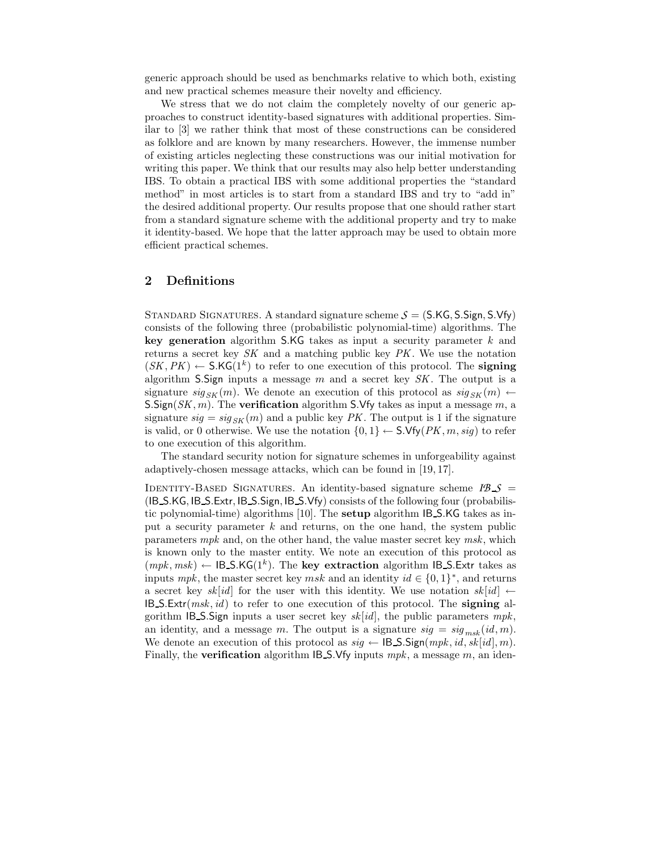generic approach should be used as benchmarks relative to which both, existing and new practical schemes measure their novelty and efficiency.

We stress that we do not claim the completely novelty of our generic approaches to construct identity-based signatures with additional properties. Similar to [3] we rather think that most of these constructions can be considered as folklore and are known by many researchers. However, the immense number of existing articles neglecting these constructions was our initial motivation for writing this paper. We think that our results may also help better understanding IBS. To obtain a practical IBS with some additional properties the "standard method" in most articles is to start from a standard IBS and try to "add in" the desired additional property. Our results propose that one should rather start from a standard signature scheme with the additional property and try to make it identity-based. We hope that the latter approach may be used to obtain more efficient practical schemes.

# 2 Definitions

STANDARD SIGNATURES. A standard signature scheme  $S = (S.KG, S.Sign, S.Vfy)$ consists of the following three (probabilistic polynomial-time) algorithms. The key generation algorithm S.KG takes as input a security parameter k and returns a secret key SK and a matching public key PK. We use the notation  $(SK, PK) \leftarrow$  S.KG(1<sup>k</sup>) to refer to one execution of this protocol. The **signing** algorithm S.Sign inputs a message  $m$  and a secret key  $SK$ . The output is a signature  $sig_{SK}(m)$ . We denote an execution of this protocol as  $sig_{SK}(m)$   $\leftarrow$ S. Sign( $SK, m$ ). The verification algorithm S. Vfy takes as input a message  $m$ , a signature  $sig = sig_{SK}(m)$  and a public key PK. The output is 1 if the signature is valid, or 0 otherwise. We use the notation  $\{0,1\} \leftarrow$  S.Vfy $(PK, m, sig)$  to refer to one execution of this algorithm.

The standard security notion for signature schemes in unforgeability against adaptively-chosen message attacks, which can be found in [19, 17].

IDENTITY-BASED SIGNATURES. An identity-based signature scheme  $IBS$ (IB S.KG, IB S.Extr, IB S.Sign, IB S.Vfy) consists of the following four (probabilistic polynomial-time) algorithms [10]. The setup algorithm IB S.KG takes as input a security parameter  $k$  and returns, on the one hand, the system public parameters mpk and, on the other hand, the value master secret key msk, which is known only to the master entity. We note an execution of this protocol as  $(mpk, msk) \leftarrow \mathsf{IB\_S}.\mathsf{KG}(1^k)$ . The key extraction algorithm IB\_S. Extr takes as inputs  $mpk$ , the master secret key  $msk$  and an identity  $id \in \{0,1\}^*$ , and returns a secret key sk[id] for the user with this identity. We use notation  $sk(id] \leftarrow$  $IB_S. \text{Extr}(msk, id)$  to refer to one execution of this protocol. The signing algorithm IB S. Sign inputs a user secret key  $sk(id]$ , the public parameters  $mpk$ , an identity, and a message m. The output is a signature  $sig = sig_{msk}(id, m)$ . We denote an execution of this protocol as  $sig \leftarrow \mathsf{IB.S}.\mathsf{Sign}(mpk, id, sk(id), m)$ . Finally, the **verification** algorithm IB S.Vfy inputs  $mpk$ , a message m, an iden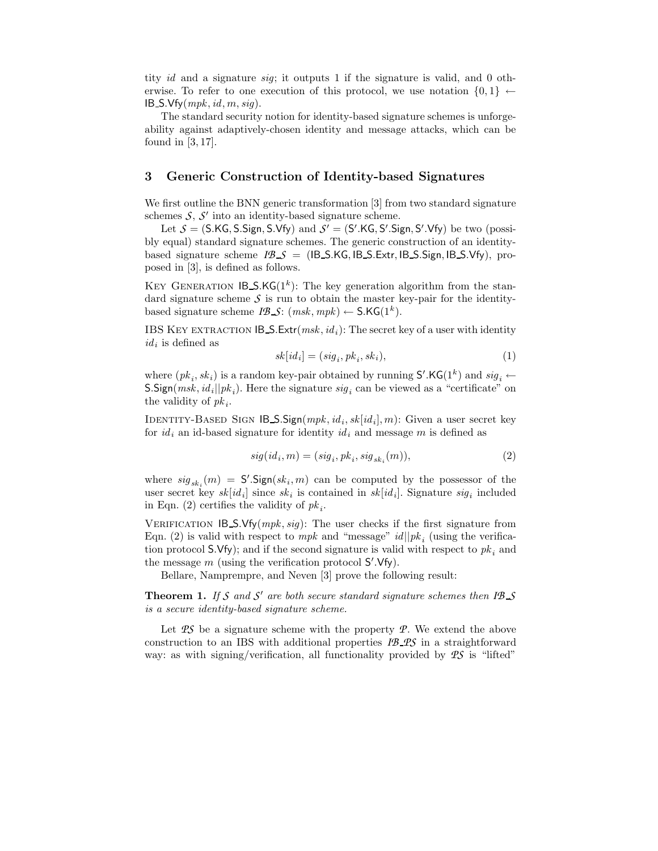tity id and a signature sig; it outputs 1 if the signature is valid, and 0 otherwise. To refer to one execution of this protocol, we use notation  $\{0,1\} \leftarrow$ IB  $S.Vfv(mpk, id, m, sig)$ .

The standard security notion for identity-based signature schemes is unforgeability against adaptively-chosen identity and message attacks, which can be found in [3, 17].

# 3 Generic Construction of Identity-based Signatures

We first outline the BNN generic transformation [3] from two standard signature schemes  $S$ ,  $S'$  into an identity-based signature scheme.

Let  $S = (S.KG, S.Sign, S.Vfy)$  and  $S' = (S'.KG, S'Sign, S'.Vfy)$  be two (possibly equal) standard signature schemes. The generic construction of an identitybased signature scheme  $IB\_S = (IB\_S.KG, IB\_S.Extr, IB\_S.Sign, IB\_S.Vfy),$  proposed in [3], is defined as follows.

KEY GENERATION  $IB_S.KG(1^k)$ : The key generation algorithm from the standard signature scheme  $S$  is run to obtain the master key-pair for the identitybased signature scheme  $\textit{IBS}: (msk, mpk) \leftarrow \textsf{S.KG}(1^k)$ .

IBS KEY EXTRACTION IB\_S.Extr $(msk, id_i)$ : The secret key of a user with identity  $id_i$  is defined as

$$
sk[id_i] = (sig_i, pk_i, sk_i),
$$
\n<sup>(1)</sup>

where  $(pk_i, sk_i)$  is a random key-pair obtained by running  $\mathsf{S'}. \mathsf{KG}(1^k)$  and  $sig_i \leftarrow$  $S.Sign(msk, id_i || pk_i)$ . Here the signature  $sig_i$  can be viewed as a "certificate" on the validity of  $pk_i$ .

IDENTITY-BASED SIGN  $IB_S$ . Sign $(mpk, id_i, sk[iid_i], m)$ : Given a user secret key for  $id_i$  an id-based signature for identity  $id_i$  and message m is defined as

$$
sig(id_i, m) = (sig_i, pk_i, sig_{sk_i}(m)),
$$
\n(2)

where  $sig_{sk_i}(m) = S'.Sign(sk_i, m)$  can be computed by the possessor of the user secret key  $sk[i d_i]$  since  $sk_i$  is contained in  $sk[i d_i]$ . Signature  $sig_i$  included in Eqn. (2) certifies the validity of  $pk_i$ .

VERIFICATION IB S.Vfy $(mpk, sig)$ : The user checks if the first signature from Eqn. (2) is valid with respect to  $mpk$  and "message"  $id||pk_i$  (using the verification protocol S.Vfy); and if the second signature is valid with respect to  $pk<sub>i</sub>$  and the message  $m$  (using the verification protocol  $S'.Vfy$ ).

Bellare, Namprempre, and Neven [3] prove the following result:

**Theorem 1.** If  $S$  and  $S'$  are both secure standard signature schemes then  $IB\_S$ is a secure identity-based signature scheme.

Let PS be a signature scheme with the property P. We extend the above construction to an IBS with additional properties *IB PS* in a straightforward way: as with signing/verification, all functionality provided by *PS* is "lifted"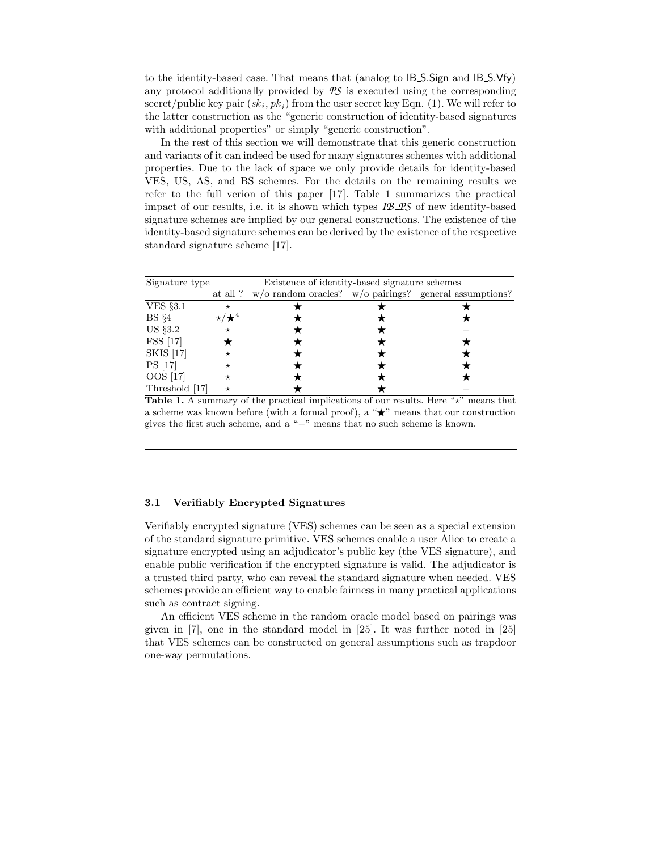to the identity-based case. That means that (analog to IB S.Sign and IB S.Vfy) any protocol additionally provided by *PS* is executed using the corresponding secret/public key pair  $(sk_i, pk_i)$  from the user secret key Eqn. (1). We will refer to the latter construction as the "generic construction of identity-based signatures with additional properties" or simply "generic construction".

In the rest of this section we will demonstrate that this generic construction and variants of it can indeed be used for many signatures schemes with additional properties. Due to the lack of space we only provide details for identity-based VES, US, AS, and BS schemes. For the details on the remaining results we refer to the full verion of this paper [17]. Table 1 summarizes the practical impact of our results, i.e. it is shown which types *IB PS* of new identity-based signature schemes are implied by our general constructions. The existence of the identity-based signature schemes can be derived by the existence of the respective standard signature scheme [17].

| Signature type   |          | Existence of identity-based signature schemes                       |  |  |
|------------------|----------|---------------------------------------------------------------------|--|--|
|                  |          | at all ? $w/o$ random oracles? $w/o$ pairings? general assumptions? |  |  |
| VES $\S3.1$      |          |                                                                     |  |  |
| $BS \S4$         |          |                                                                     |  |  |
| US §3.2          | $^\star$ |                                                                     |  |  |
| FSS [17]         |          |                                                                     |  |  |
| <b>SKIS</b> [17] | $^\star$ |                                                                     |  |  |
| PS [17]          | $^\star$ |                                                                     |  |  |
| OOS [17]         | $^\star$ |                                                                     |  |  |
| Threshold [17]   | $^\star$ |                                                                     |  |  |

**Table 1.** A summary of the practical implications of our results. Here " $\star$ " means that a scheme was known before (with a formal proof), a " $\star$ " means that our construction gives the first such scheme, and a "−" means that no such scheme is known.

## 3.1 Verifiably Encrypted Signatures

Verifiably encrypted signature (VES) schemes can be seen as a special extension of the standard signature primitive. VES schemes enable a user Alice to create a signature encrypted using an adjudicator's public key (the VES signature), and enable public verification if the encrypted signature is valid. The adjudicator is a trusted third party, who can reveal the standard signature when needed. VES schemes provide an efficient way to enable fairness in many practical applications such as contract signing.

An efficient VES scheme in the random oracle model based on pairings was given in [7], one in the standard model in [25]. It was further noted in [25] that VES schemes can be constructed on general assumptions such as trapdoor one-way permutations.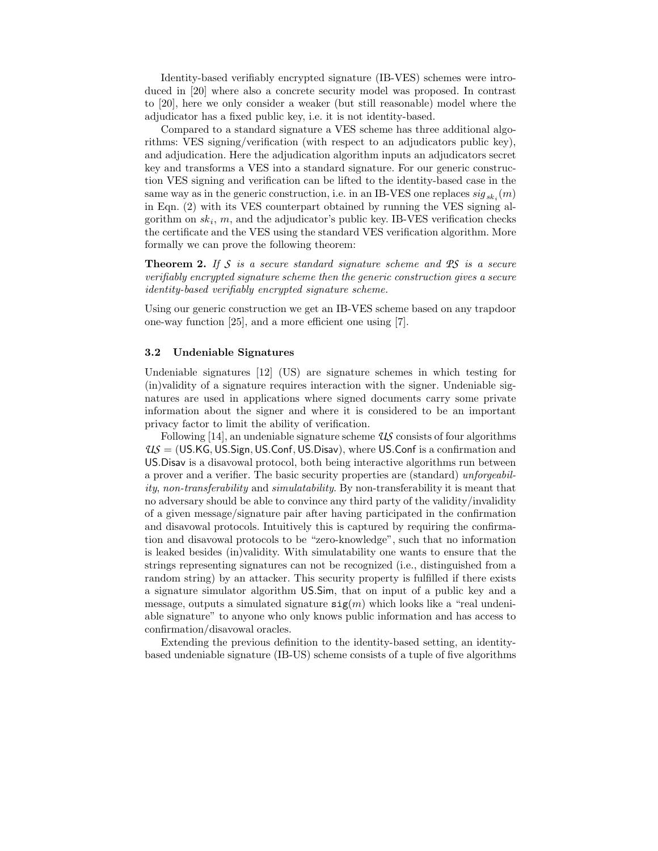Identity-based verifiably encrypted signature (IB-VES) schemes were introduced in [20] where also a concrete security model was proposed. In contrast to [20], here we only consider a weaker (but still reasonable) model where the adjudicator has a fixed public key, i.e. it is not identity-based.

Compared to a standard signature a VES scheme has three additional algorithms: VES signing/verification (with respect to an adjudicators public key), and adjudication. Here the adjudication algorithm inputs an adjudicators secret key and transforms a VES into a standard signature. For our generic construction VES signing and verification can be lifted to the identity-based case in the same way as in the generic construction, i.e. in an IB-VES one replaces  $sig_{sk_i}(m)$ in Eqn. (2) with its VES counterpart obtained by running the VES signing algorithm on  $sk_i$ , m, and the adjudicator's public key. IB-VES verification checks the certificate and the VES using the standard VES verification algorithm. More formally we can prove the following theorem:

Theorem 2. If *S* is a secure standard signature scheme and *PS* is a secure verifiably encrypted signature scheme then the generic construction gives a secure identity-based verifiably encrypted signature scheme.

Using our generic construction we get an IB-VES scheme based on any trapdoor one-way function [25], and a more efficient one using [7].

## 3.2 Undeniable Signatures

Undeniable signatures [12] (US) are signature schemes in which testing for (in)validity of a signature requires interaction with the signer. Undeniable signatures are used in applications where signed documents carry some private information about the signer and where it is considered to be an important privacy factor to limit the ability of verification.

Following [14], an undeniable signature scheme *US* consists of four algorithms  $US = (US.KG, US.Sign, US.Conf, US.Disav), where US.Conf is a confirmation and$ US.Disav is a disavowal protocol, both being interactive algorithms run between a prover and a verifier. The basic security properties are (standard) unforgeability, non-transferability and simulatability. By non-transferability it is meant that no adversary should be able to convince any third party of the validity/invalidity of a given message/signature pair after having participated in the confirmation and disavowal protocols. Intuitively this is captured by requiring the confirmation and disavowal protocols to be "zero-knowledge", such that no information is leaked besides (in)validity. With simulatability one wants to ensure that the strings representing signatures can not be recognized (i.e., distinguished from a random string) by an attacker. This security property is fulfilled if there exists a signature simulator algorithm US.Sim, that on input of a public key and a message, outputs a simulated signature  $sig(m)$  which looks like a "real undeniable signature" to anyone who only knows public information and has access to confirmation/disavowal oracles.

Extending the previous definition to the identity-based setting, an identitybased undeniable signature (IB-US) scheme consists of a tuple of five algorithms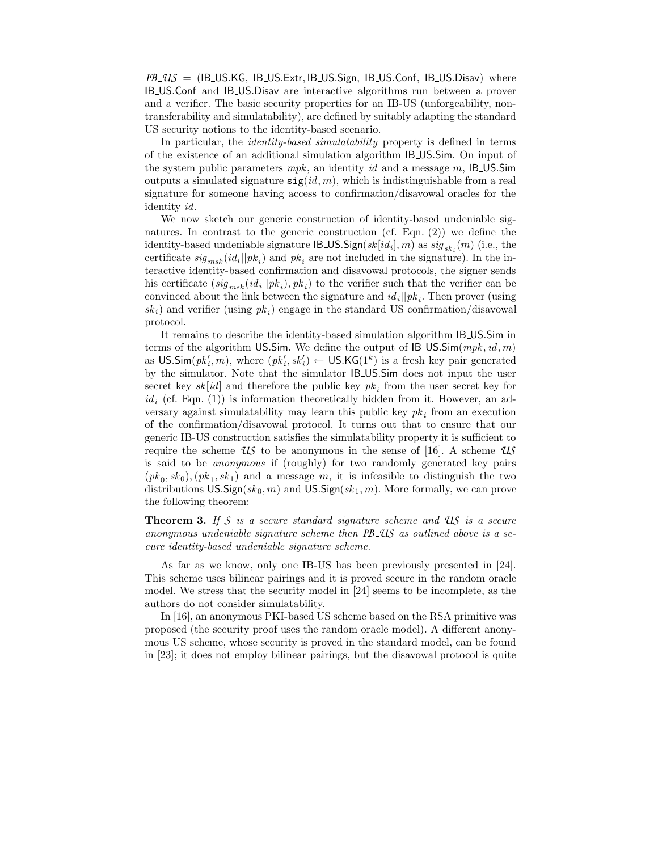$I\mathcal{B}_U\mathcal{S} = (IB_US.KG, IB_US.Extr, IB_US.Sign, IB_US.Conf, IB_US.Disav)$  where IB US.Conf and IB US.Disav are interactive algorithms run between a prover and a verifier. The basic security properties for an IB-US (unforgeability, nontransferability and simulatability), are defined by suitably adapting the standard US security notions to the identity-based scenario.

In particular, the *identity-based simulatability* property is defined in terms of the existence of an additional simulation algorithm IB US.Sim. On input of the system public parameters  $mpk$ , an identity id and a message m, IB US.Sim outputs a simulated signature  $sig(id, m)$ , which is indistinguishable from a real signature for someone having access to confirmation/disavowal oracles for the identity id.

We now sketch our generic construction of identity-based undeniable signatures. In contrast to the generic construction (cf. Eqn. (2)) we define the identity-based undeniable signature  $\mathsf{IB\_US}.$  Sign $(\mathit{sk}[\mathit{id}_i], m)$  as  $\mathit{sig}_{\mathit{sk}_i}(m)$  (i.e., the certificate  $sig_{msk}(id_i||pk_i)$  and  $pk_i$  are not included in the signature). In the interactive identity-based confirmation and disavowal protocols, the signer sends his certificate  $(sign_{msk}(id_i || pk_i), pk_i)$  to the verifier such that the verifier can be convinced about the link between the signature and  $id_i || p k_i$ . Then prover (using  $sk_i$ ) and verifier (using  $pk_i$ ) engage in the standard US confirmation/disavowal protocol.

It remains to describe the identity-based simulation algorithm IB US.Sim in terms of the algorithm US.Sim. We define the output of IB US.Sim $(mpk, id, m)$ as US.Sim $(pk'_i, m)$ , where  $(pk'_i, sk'_i) \leftarrow \mathsf{US.KG}(1^k)$  is a fresh key pair generated by the simulator. Note that the simulator IB US.Sim does not input the user secret key  $sk(id]$  and therefore the public key  $pk_i$  from the user secret key for  $id_i$  (cf. Eqn. (1)) is information theoretically hidden from it. However, an adversary against simulatability may learn this public key  $pk<sub>i</sub>$  from an execution of the confirmation/disavowal protocol. It turns out that to ensure that our generic IB-US construction satisfies the simulatability property it is sufficient to require the scheme *US* to be anonymous in the sense of [16]. A scheme *US* is said to be anonymous if (roughly) for two randomly generated key pairs  $(pk_0, sk_0), (pk_1, sk_1)$  and a message m, it is infeasible to distinguish the two distributions  $US.Sign(sk_0, m)$  and  $US.Sign(sk_1, m)$ . More formally, we can prove the following theorem:

Theorem 3. If *S* is a secure standard signature scheme and *US* is a secure anonymous undeniable signature scheme then *IB US* as outlined above is a secure identity-based undeniable signature scheme.

As far as we know, only one IB-US has been previously presented in [24]. This scheme uses bilinear pairings and it is proved secure in the random oracle model. We stress that the security model in [24] seems to be incomplete, as the authors do not consider simulatability.

In [16], an anonymous PKI-based US scheme based on the RSA primitive was proposed (the security proof uses the random oracle model). A different anonymous US scheme, whose security is proved in the standard model, can be found in [23]; it does not employ bilinear pairings, but the disavowal protocol is quite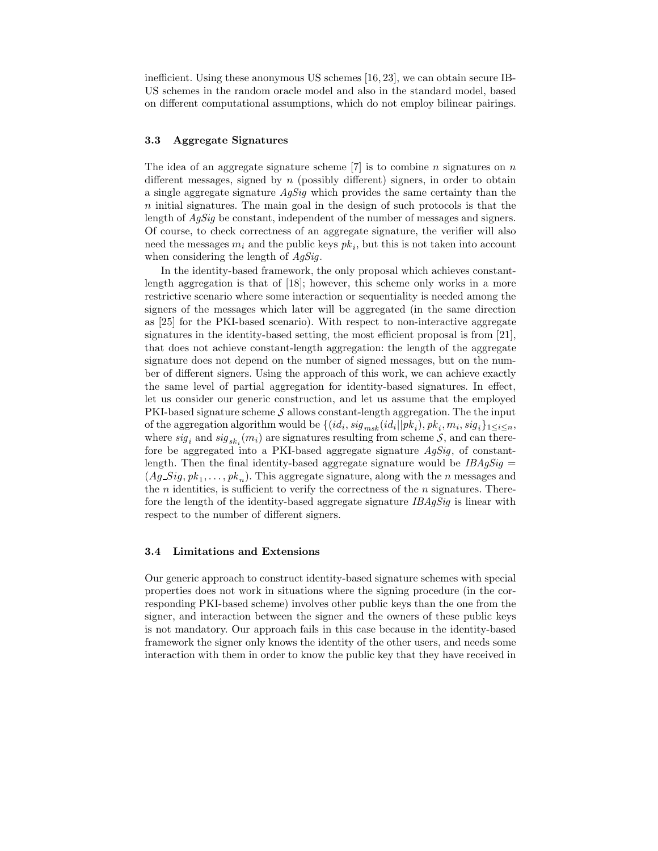inefficient. Using these anonymous US schemes [16, 23], we can obtain secure IB-US schemes in the random oracle model and also in the standard model, based on different computational assumptions, which do not employ bilinear pairings.

## 3.3 Aggregate Signatures

The idea of an aggregate signature scheme [7] is to combine n signatures on  $n$ different messages, signed by  $n$  (possibly different) signers, in order to obtain a single aggregate signature  $AgSiq$  which provides the same certainty than the  $n$  initial signatures. The main goal in the design of such protocols is that the length of  $AgSiq$  be constant, independent of the number of messages and signers. Of course, to check correctness of an aggregate signature, the verifier will also need the messages  $m_i$  and the public keys  $pk_i$ , but this is not taken into account when considering the length of AgSig.

In the identity-based framework, the only proposal which achieves constantlength aggregation is that of [18]; however, this scheme only works in a more restrictive scenario where some interaction or sequentiality is needed among the signers of the messages which later will be aggregated (in the same direction as [25] for the PKI-based scenario). With respect to non-interactive aggregate signatures in the identity-based setting, the most efficient proposal is from [21], that does not achieve constant-length aggregation: the length of the aggregate signature does not depend on the number of signed messages, but on the number of different signers. Using the approach of this work, we can achieve exactly the same level of partial aggregation for identity-based signatures. In effect, let us consider our generic construction, and let us assume that the employed PKI-based signature scheme *S* allows constant-length aggregation. The the input of the aggregation algorithm would be  $\{(id_i, sig_{msk}(id_i || pk_i), pk_i, m_i, sig_i\}_{1 \leq i \leq n},$ where  $sig_i$  and  $sig_{sk_i}(m_i)$  are signatures resulting from scheme *S*, and can therefore be aggregated into a PKI-based aggregate signature  $AgSiq$ , of constantlength. Then the final identity-based aggregate signature would be  $IBAgSig =$  $(Ag\_{Sig}, pk_1, \ldots, pk_n)$ . This aggregate signature, along with the *n* messages and the  $n$  identities, is sufficient to verify the correctness of the  $n$  signatures. Therefore the length of the identity-based aggregate signature  $IBAgSig$  is linear with respect to the number of different signers.

#### 3.4 Limitations and Extensions

Our generic approach to construct identity-based signature schemes with special properties does not work in situations where the signing procedure (in the corresponding PKI-based scheme) involves other public keys than the one from the signer, and interaction between the signer and the owners of these public keys is not mandatory. Our approach fails in this case because in the identity-based framework the signer only knows the identity of the other users, and needs some interaction with them in order to know the public key that they have received in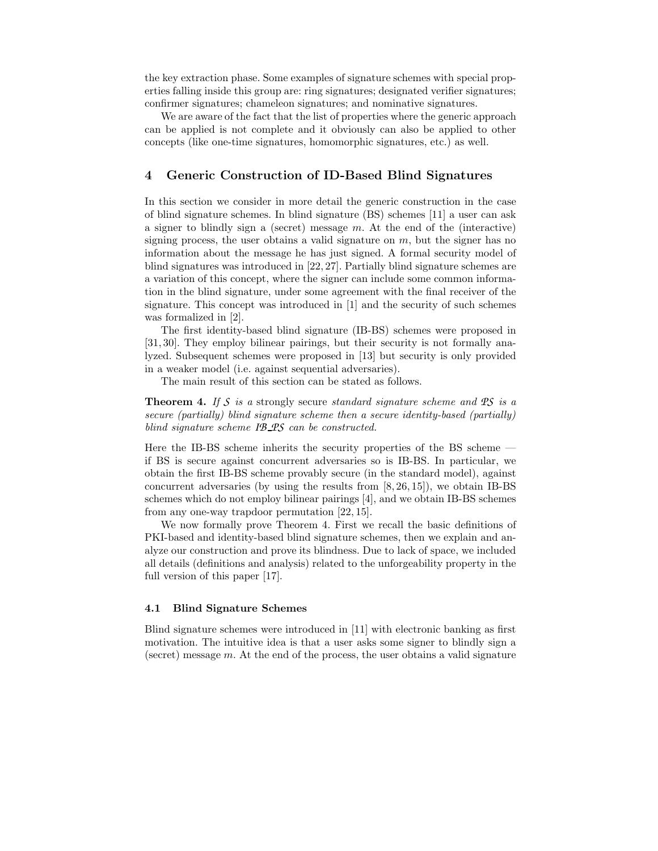the key extraction phase. Some examples of signature schemes with special properties falling inside this group are: ring signatures; designated verifier signatures; confirmer signatures; chameleon signatures; and nominative signatures.

We are aware of the fact that the list of properties where the generic approach can be applied is not complete and it obviously can also be applied to other concepts (like one-time signatures, homomorphic signatures, etc.) as well.

## 4 Generic Construction of ID-Based Blind Signatures

In this section we consider in more detail the generic construction in the case of blind signature schemes. In blind signature (BS) schemes [11] a user can ask a signer to blindly sign a (secret) message  $m$ . At the end of the (interactive) signing process, the user obtains a valid signature on  $m$ , but the signer has no information about the message he has just signed. A formal security model of blind signatures was introduced in [22, 27]. Partially blind signature schemes are a variation of this concept, where the signer can include some common information in the blind signature, under some agreement with the final receiver of the signature. This concept was introduced in [1] and the security of such schemes was formalized in [2].

The first identity-based blind signature (IB-BS) schemes were proposed in [31, 30]. They employ bilinear pairings, but their security is not formally analyzed. Subsequent schemes were proposed in [13] but security is only provided in a weaker model (i.e. against sequential adversaries).

The main result of this section can be stated as follows.

Theorem 4. If *S* is a strongly secure standard signature scheme and *PS* is a secure (partially) blind signature scheme then a secure identity-based (partially) blind signature scheme *IB PS* can be constructed.

Here the IB-BS scheme inherits the security properties of the BS scheme if BS is secure against concurrent adversaries so is IB-BS. In particular, we obtain the first IB-BS scheme provably secure (in the standard model), against concurrent adversaries (by using the results from [8, 26, 15]), we obtain IB-BS schemes which do not employ bilinear pairings [4], and we obtain IB-BS schemes from any one-way trapdoor permutation [22, 15].

We now formally prove Theorem 4. First we recall the basic definitions of PKI-based and identity-based blind signature schemes, then we explain and analyze our construction and prove its blindness. Due to lack of space, we included all details (definitions and analysis) related to the unforgeability property in the full version of this paper [17].

## 4.1 Blind Signature Schemes

Blind signature schemes were introduced in [11] with electronic banking as first motivation. The intuitive idea is that a user asks some signer to blindly sign a (secret) message  $m$ . At the end of the process, the user obtains a valid signature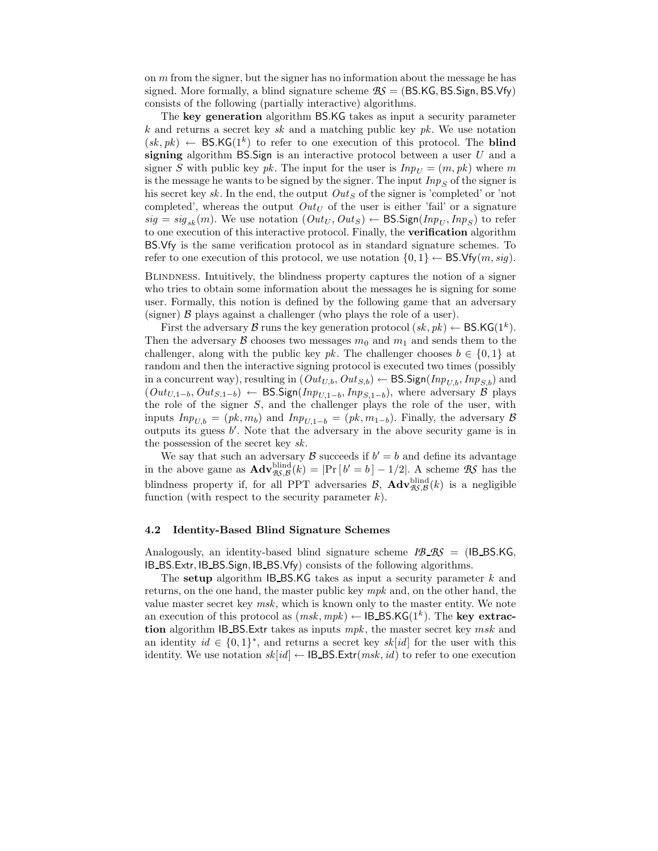on  $m$  from the signer, but the signer has no information about the message he has signed. More formally, a blind signature scheme  $\mathcal{BS} = (BS.KG, BS.Sign, BS.Vf\gamma)$ consists of the following (partially interactive) algorithms.

The key generation algorithm BS.KG takes as input a security parameter  $k$  and returns a secret key sk and a matching public key  $pk$ . We use notation  $(sk, pk) \leftarrow$  BS.KG(1<sup>k</sup>) to refer to one execution of this protocol. The **blind** signing algorithm BS. Sign is an interactive protocol between a user U and a signer S with public key pk. The input for the user is  $Inp<sub>U</sub> = (m, pk)$  where m is the message he wants to be signed by the signer. The input  $Inp<sub>S</sub>$  of the signer is his secret key sk. In the end, the output  $Out_S$  of the signer is 'completed' or 'not completed', whereas the output  $Out_U$  of the user is either 'fail' or a signature  $sig = sig_{sk}(m)$ . We use notation  $(Out_U, Out_S) \leftarrow \text{BS}.Sign(Imp_U,Imp_S)$  to refer to one execution of this interactive protocol. Finally, the verification algorithm BS.Vfy is the same verification protocol as in standard signature schemes. To refer to one execution of this protocol, we use notation  $\{0, 1\} \leftarrow \text{BS.Vfy}(m, sig)$ .

Blindness. Intuitively, the blindness property captures the notion of a signer who tries to obtain some information about the messages he is signing for some user. Formally, this notion is defined by the following game that an adversary (signer)  $\beta$  plays against a challenger (who plays the role of a user).

First the adversary  $\mathcal B$  runs the key generation protocol  $(sk, pk) \leftarrow BS.KG(1^k)$ . Then the adversary  $\beta$  chooses two messages  $m_0$  and  $m_1$  and sends them to the challenger, along with the public key pk. The challenger chooses  $b \in \{0,1\}$  at random and then the interactive signing protocol is executed two times (possibly in a concurrent way), resulting in  $(Out_{U,b}, Out_{S,b}) \leftarrow \text{BS}.Sign(Imp_{U,b},Imp_{S,b})$  and  $(Out_{U,1-b}, Out_{S,1-b}) \leftarrow \mathsf{BS}.Sign(Imp_{U,1-b}, Imp_{S,1-b}),$  where adversary B plays the role of the signer S, and the challenger plays the role of the user, with inputs  $Inp_{U,b} = (pk, m_b)$  and  $Inp_{U,1-b} = (pk, m_{1-b})$ . Finally, the adversary B outputs its guess  $b'$ . Note that the adversary in the above security game is in the possession of the secret key sk.

We say that such an adversary  $\beta$  succeeds if  $b' = b$  and define its advantage in the above game as  $\mathbf{Adv}_{\mathcal{BS},\mathcal{B}}^{\text{blind}}(k) = |\Pr[b'=b] - 1/2|$ . A scheme  $\mathcal{BS}$  has the blindness property if, for all PPT adversaries  $\mathcal{B}$ ,  $\mathbf{Adv}_{\mathcal{BS},\mathcal{B}}^{\text{blind}}(k)$  is a negligible function (with respect to the security parameter  $k$ ).

## 4.2 Identity-Based Blind Signature Schemes

Analogously, an identity-based blind signature scheme  $IB\_BS = (IB\_BS.KG,$ IB BS.Extr, IB BS.Sign, IB BS.Vfy) consists of the following algorithms.

The setup algorithm IB BS.KG takes as input a security parameter  $k$  and returns, on the one hand, the master public key mpk and, on the other hand, the value master secret key msk, which is known only to the master entity. We note an execution of this protocol as  $(msk, mpk) \leftarrow \mathsf{IB} \_BS.KG(1^k)$ . The key extraction algorithm IB BS. Extr takes as inputs  $mpk$ , the master secret key  $msk$  and an identity  $id \in \{0,1\}^*$ , and returns a secret key  $sk(id]$  for the user with this identity. We use notation  $sk[id] \leftarrow \mathsf{IB} \_BS\_\mathsf{Extr}(msk,id)$  to refer to one execution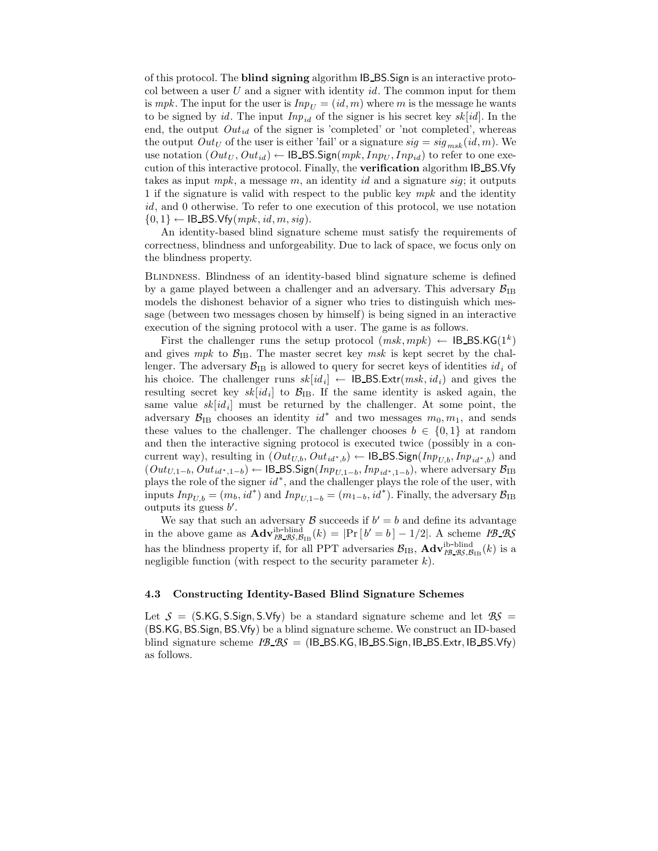of this protocol. The blind signing algorithm IB BS.Sign is an interactive protocol between a user U and a signer with identity  $id$ . The common input for them is mpk. The input for the user is  $Inp<sub>U</sub> = (id, m)$  where m is the message he wants to be signed by id. The input  $Inp_{id}$  of the signer is his secret key sk[id]. In the end, the output  $Out_{id}$  of the signer is 'completed' or 'not completed', whereas the output  $Out_U$  of the user is either 'fail' or a signature  $sig = sig_{msk}(id, m)$ . We use notation  $(Out_U, Out_{id}) \leftarrow \mathsf{IB}$  BS. Sign $(mpk, Input, Input)$  to refer to one execution of this interactive protocol. Finally, the verification algorithm IB\_BS.Vfy takes as input  $mpk$ , a message m, an identity id and a signature sig; it outputs 1 if the signature is valid with respect to the public key  $mpk$  and the identity id, and 0 otherwise. To refer to one execution of this protocol, we use notation  $\{0, 1\} \leftarrow \mathsf{IB} \text{-} \mathsf{BS} \mathsf{.Vfv}(mpk, id, m, sig).$ 

An identity-based blind signature scheme must satisfy the requirements of correctness, blindness and unforgeability. Due to lack of space, we focus only on the blindness property.

Blindness. Blindness of an identity-based blind signature scheme is defined by a game played between a challenger and an adversary. This adversary  $\mathcal{B}_{IB}$ models the dishonest behavior of a signer who tries to distinguish which message (between two messages chosen by himself) is being signed in an interactive execution of the signing protocol with a user. The game is as follows.

First the challenger runs the setup protocol  $(msk, mpk) \leftarrow \mathsf{IB} \_BS.KG(1^k)$ and gives  $mpk$  to  $B_{IB}$ . The master secret key msk is kept secret by the challenger. The adversary  $\mathcal{B}_{IB}$  is allowed to query for secret keys of identities  $id_i$  of his choice. The challenger runs  $sk(id_i] \leftarrow \mathsf{IB} \_BS\mathsf{Extr}(msk, id_i)$  and gives the resulting secret key  $sk(id_i]$  to  $\mathcal{B}_{IB}$ . If the same identity is asked again, the same value  $sk(id_i]$  must be returned by the challenger. At some point, the adversary  $\mathcal{B}_{IB}$  chooses an identity  $id^*$  and two messages  $m_0, m_1$ , and sends these values to the challenger. The challenger chooses  $b \in \{0,1\}$  at random and then the interactive signing protocol is executed twice (possibly in a concurrent way), resulting in  $(Out_{U,b}, Out_{id^*,b}) \leftarrow \mathsf{IB\_BS}.Sign(Imp_{U,b}, Imp_{id^*,b})$  and  $(Out_{U,1-b}, Out_{id^*,1-b}) \leftarrow \mathsf{IB}$ BS.Sign $(Imp_{U,1-b}, Imp_{id^*,1-b}),$  where adversary  $\mathcal{B}_{IB}$ plays the role of the signer  $id^*$ , and the challenger plays the role of the user, with inputs  $Imp_{U,b} = (m_b, id^*)$  and  $Imp_{U,1-b} = (m_{1-b}, id^*)$ . Finally, the adversary  $B_{IB}$ outputs its guess  $b'$ .

We say that such an adversary  $\mathcal{B}$  succeeds if  $b' = b$  and define its advantage in the above game as  $\mathbf{Adv}_{IB\_\mathcal{BS},\mathcal{B}_{IB}}^{ib\text{-blind}}(k) = |\Pr[b' = b] - 1/2|$ . A scheme *IB\_BS* has the blindness property if, for all PPT adversaries  $B_{\text{IB}}, \text{Adv}_{IB\_BS, B_{\text{IB}}}(k)$  is a negligible function (with respect to the security parameter  $k$ ).

#### 4.3 Constructing Identity-Based Blind Signature Schemes

Let  $S = (S.KG, S.Sign, S.Vfv)$  be a standard signature scheme and let  $BS =$ (BS.KG, BS.Sign, BS.Vfy) be a blind signature scheme. We construct an ID-based blind signature scheme  $IB$   $BS = (IB$  BS.KG, IB BS.Sign, IB BS.Extr, IB BS.Vfy) as follows.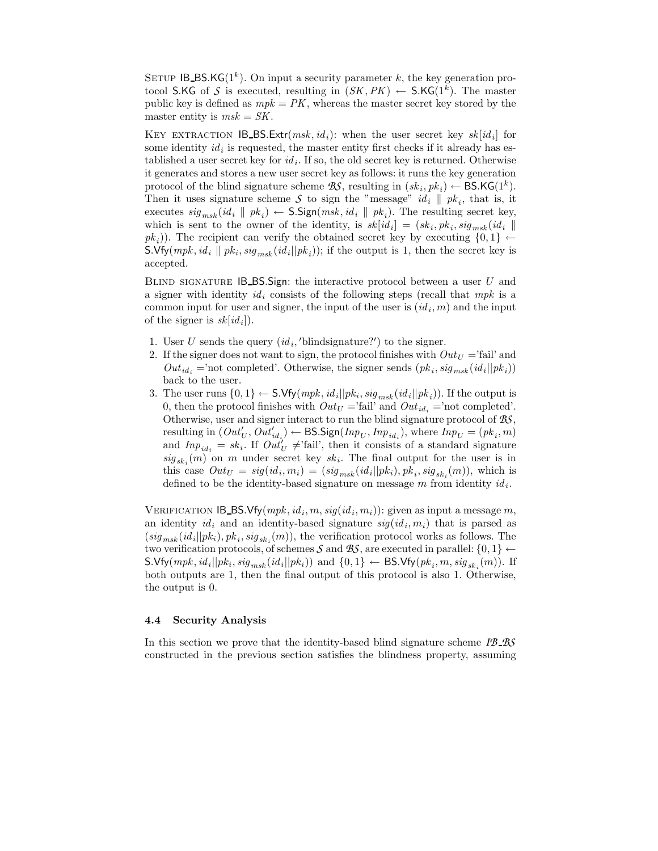SETUP IB\_BS.KG( $1^k$ ). On input a security parameter k, the key generation protocol S.KG of *S* is executed, resulting in  $(SK, PK) \leftarrow$  S.KG(1<sup>k</sup>). The master public key is defined as  $mpk = PK$ , whereas the master secret key stored by the master entity is  $msk = SK$ .

KEY EXTRACTION IB\_BS.Extr $(msk, id_i)$ : when the user secret key  $sk[id_i]$  for some identity  $id_i$  is requested, the master entity first checks if it already has established a user secret key for  $id_i$ . If so, the old secret key is returned. Otherwise it generates and stores a new user secret key as follows: it runs the key generation protocol of the blind signature scheme  $\mathcal{BS}$ , resulting in  $(sk_i, pk_i) \leftarrow \mathsf{BS}.\mathsf{KG}(1^k)$ . Then it uses signature scheme *S* to sign the "message"  $id_i \parallel pk_i$ , that is, it executes  $sig_{msk}(id_i \parallel pk_i) \leftarrow$  S.Sign $(msk, id_i \parallel pk_i)$ . The resulting secret key, which is sent to the owner of the identity, is  $sk[i d_i] = (sk_i, pk_i, sig_{msk}(id_i))$  $pk<sub>i</sub>$ )). The recipient can verify the obtained secret key by executing  $\{0, 1\} \leftarrow$  $\mathsf{S.Vfy}(mpk, id_i \parallel pk_i, sig_{msk}(id_i || pk_i));$  if the output is 1, then the secret key is accepted.

BLIND SIGNATURE IB\_BS.Sign: the interactive protocol between a user  $U$  and a signer with identity  $id_i$  consists of the following steps (recall that mpk is a common input for user and signer, the input of the user is  $(id<sub>i</sub>, m)$  and the input of the signer is  $sk(id_i]$ .

- 1. User U sends the query  $(id_i, 'blindsignature?')$  to the signer.
- 2. If the signer does not want to sign, the protocol finishes with  $Out_U = 'fail'$  and  $Out_{id_i}$  ='not completed'. Otherwise, the signer sends  $(pk_i, sig_{msk}(id_i || pk_i))$ back to the user.
- 3. The user runs  $\{0,1\} \leftarrow \textsf{S.Vfy}(mpk, id_i || pk_i, sig_{msk}(id_i || pk_i)).$  If the output is 0, then the protocol finishes with  $Out_U = 'fail'$  and  $Out_{id_i} = 'not$  completed'. Otherwise, user and signer interact to run the blind signature protocol of *BS*, resulting in  $(Out_U', Out_{id_i}') \leftarrow \textsf{BS}.Sign(Imp_U,Imp_{id_i}),$  where  $Imp_U = (pk_i, m)$ and  $Inp_{id_i} = sk_i$ . If  $Out_U^{\prime} \neq 'fail'$ , then it consists of a standard signature  $sig_{sk_i}(m)$  on m under secret key  $sk_i$ . The final output for the user is in this case  $Out_U = sig(id_i, m_i) = (sig_{msk}(id_i || pk_i), pk_i, sig_{sk_i}(m))$ , which is defined to be the identity-based signature on message  $m$  from identity  $id_i$ .

VERIFICATION IB\_BS.Vfy $(mpk, id_i, m, sig(id_i, m_i))$ : given as input a message m, an identity  $id_i$  and an identity-based signature  $sig(id_i, m_i)$  that is parsed as  $(sign_{msk}(id_i||pk_i), pk_i, sig_{sk_i}(m))$ , the verification protocol works as follows. The two verification protocols, of schemes *S* and *BS*, are executed in parallel:  $\{0,1\} \leftarrow$  $\mathsf{S.Vfy}(mpk, id_i || pk_i, sig_{msk}(id_i || pk_i))$  and  $\{0,1\} \leftarrow \mathsf{BS.Vfy}(pk_i, m, sig_{sk_i}(m))$ . If both outputs are 1, then the final output of this protocol is also 1. Otherwise, the output is 0.

## 4.4 Security Analysis

In this section we prove that the identity-based blind signature scheme *IB BS* constructed in the previous section satisfies the blindness property, assuming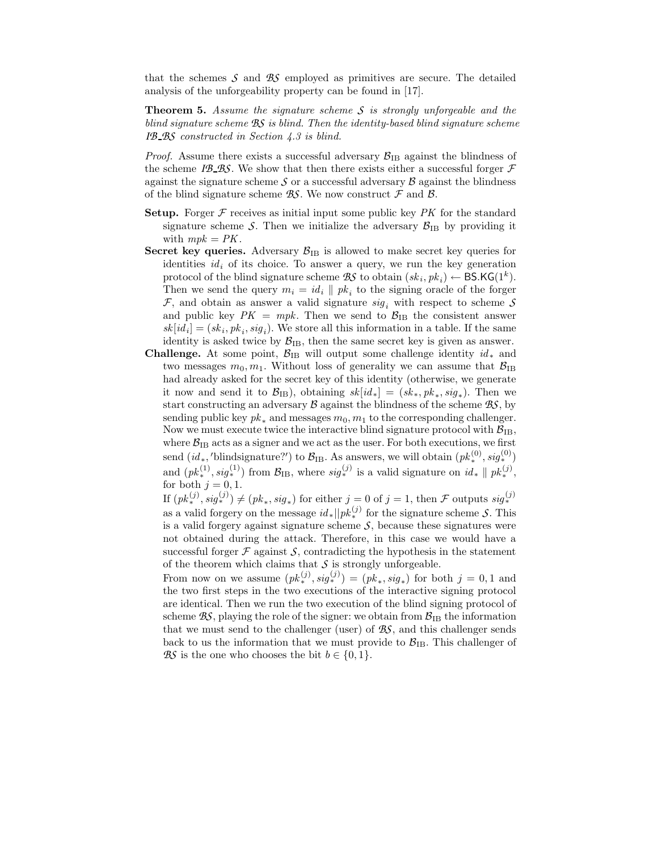that the schemes *S* and *BS* employed as primitives are secure. The detailed analysis of the unforgeability property can be found in [17].

Theorem 5. Assume the signature scheme *S* is strongly unforgeable and the blind signature scheme *BS* is blind. Then the identity-based blind signature scheme *IB BS* constructed in Section 4.3 is blind.

*Proof.* Assume there exists a successful adversary  $B_{IB}$  against the blindness of the scheme *IB\_BS*. We show that then there exists either a successful forger  $\mathcal F$ against the signature scheme  $\mathcal S$  or a successful adversary  $\mathcal B$  against the blindness of the blind signature scheme  $\mathcal{BS}$ . We now construct  $\mathcal F$  and  $\mathcal B$ .

- **Setup.** Forger  $F$  receives as initial input some public key  $PK$  for the standard signature scheme *S*. Then we initialize the adversary  $\mathcal{B}_{IB}$  by providing it with  $mpk = PK$ .
- **Secret key queries.** Adversary  $\mathcal{B}_{IB}$  is allowed to make secret key queries for identities  $id_i$  of its choice. To answer a query, we run the key generation protocol of the blind signature scheme  $\mathcal{BS}$  to obtain  $(sk_i, pk_i) \leftarrow \mathsf{BS}.\mathsf{KG}(1^k)$ . Then we send the query  $m_i = id_i || p k_i$  to the signing oracle of the forger  $\mathcal{F}$ , and obtain as answer a valid signature  $sig_i$  with respect to scheme  $\mathcal{S}$ and public key  $PK = mpk$ . Then we send to  $B_{IB}$  the consistent answer  $sk[id_i] = (sk_i, pk_i, sig_i)$ . We store all this information in a table. If the same identity is asked twice by  $\mathcal{B}_{IB}$ , then the same secret key is given as answer.
- Challenge. At some point,  $\mathcal{B}_{IB}$  will output some challenge identity  $id_*$  and two messages  $m_0, m_1$ . Without loss of generality we can assume that  $\mathcal{B}_{IB}$ had already asked for the secret key of this identity (otherwise, we generate it now and send it to  $\mathcal{B}_{IB}$ ), obtaining  $sk(id_*] = (sk_*, pk_*, sig_*)$ . Then we start constructing an adversary B against the blindness of the scheme *BS*, by sending public key  $pk_*$  and messages  $m_0, m_1$  to the corresponding challenger. Now we must execute twice the interactive blind signature protocol with  $\mathcal{B}_{IB}$ , where  $\mathcal{B}_{IB}$  acts as a signer and we act as the user. For both executions, we first send  $(id_*,$ 'blindsignature?') to  $\mathcal{B}_{IB}$ . As answers, we will obtain  $(pk_*^{(0)}, sig_*^{(0)})$ and  $(pk_*^{(1)}, sig_*^{(1)})$  from  $\mathcal{B}_{IB}$ , where  $sig_*^{(j)}$  is a valid signature on  $id_* \parallel pk_*^{(j)}$ , for both  $j = 0, 1$ .

If  $(pk_*^{(j)}, sig_*^{(j)}) \neq (pk_*, sig_*)$  for either  $j = 0$  of  $j = 1$ , then  $\mathcal F$  outputs  $sig_*^{(j)}$ as a valid forgery on the message  $id_*||pk_*^{(j)}$  for the signature scheme *S*. This is a valid forgery against signature scheme *S*, because these signatures were not obtained during the attack. Therefore, in this case we would have a successful forger  $\mathcal F$  against  $\mathcal S$ , contradicting the hypothesis in the statement of the theorem which claims that  $\mathcal S$  is strongly unforgeable.

From now on we assume  $(pk_*^{(j)}, sig_*^{(j)}) = (pk_*, sig_*)$  for both  $j = 0, 1$  and the two first steps in the two executions of the interactive signing protocol are identical. Then we run the two execution of the blind signing protocol of scheme  $\mathcal{B}S$ , playing the role of the signer: we obtain from  $\mathcal{B}_{IB}$  the information that we must send to the challenger (user) of *BS*, and this challenger sends back to us the information that we must provide to  $\mathcal{B}_{\text{IB}}$ . This challenger of *BS* is the one who chooses the bit  $b \in \{0, 1\}$ .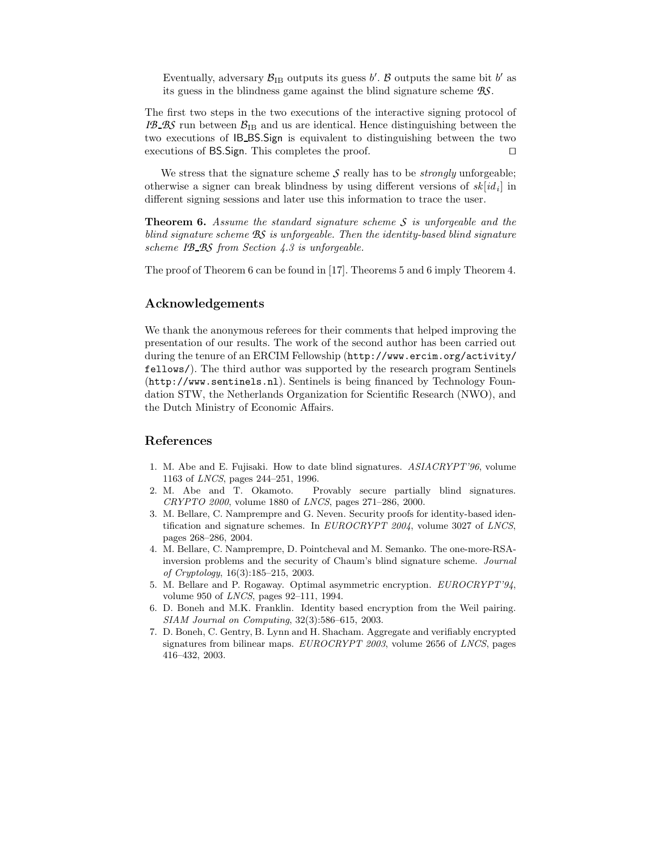Eventually, adversary  $\mathcal{B}_{IB}$  outputs its guess b'. B outputs the same bit b' as its guess in the blindness game against the blind signature scheme *BS*.

The first two steps in the two executions of the interactive signing protocol of *IB*  $BS$  run between  $B_{IB}$  and us are identical. Hence distinguishing between the two executions of IB BS.Sign is equivalent to distinguishing between the two executions of  $BS.S$ ign. This completes the proof.  $\square$ 

We stress that the signature scheme  $S$  really has to be *strongly* unforgeable; otherwise a signer can break blindness by using different versions of  $sk(id_i]$  in different signing sessions and later use this information to trace the user.

Theorem 6. Assume the standard signature scheme *S* is unforgeable and the blind signature scheme *BS* is unforgeable. Then the identity-based blind signature scheme *IB BS* from Section 4.3 is unforgeable.

The proof of Theorem 6 can be found in [17]. Theorems 5 and 6 imply Theorem 4.

# Acknowledgements

We thank the anonymous referees for their comments that helped improving the presentation of our results. The work of the second author has been carried out during the tenure of an ERCIM Fellowship (http://www.ercim.org/activity/ fellows/). The third author was supported by the research program Sentinels (http://www.sentinels.nl). Sentinels is being financed by Technology Foundation STW, the Netherlands Organization for Scientific Research (NWO), and the Dutch Ministry of Economic Affairs.

# References

- 1. M. Abe and E. Fujisaki. How to date blind signatures. ASIACRYPT'96, volume 1163 of LNCS, pages 244–251, 1996.
- 2. M. Abe and T. Okamoto. Provably secure partially blind signatures. CRYPTO 2000, volume 1880 of LNCS, pages 271–286, 2000.
- 3. M. Bellare, C. Namprempre and G. Neven. Security proofs for identity-based identification and signature schemes. In EUROCRYPT 2004, volume 3027 of LNCS, pages 268–286, 2004.
- 4. M. Bellare, C. Namprempre, D. Pointcheval and M. Semanko. The one-more-RSAinversion problems and the security of Chaum's blind signature scheme. Journal of Cryptology, 16(3):185–215, 2003.
- 5. M. Bellare and P. Rogaway. Optimal asymmetric encryption. EUROCRYPT'94, volume 950 of LNCS, pages 92–111, 1994.
- 6. D. Boneh and M.K. Franklin. Identity based encryption from the Weil pairing. SIAM Journal on Computing, 32(3):586–615, 2003.
- 7. D. Boneh, C. Gentry, B. Lynn and H. Shacham. Aggregate and verifiably encrypted signatures from bilinear maps. EUROCRYPT 2003, volume 2656 of LNCS, pages 416–432, 2003.